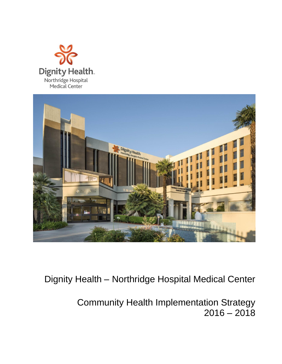



Dignity Health – Northridge Hospital Medical Center

Community Health Implementation Strategy  $2016 - 2018$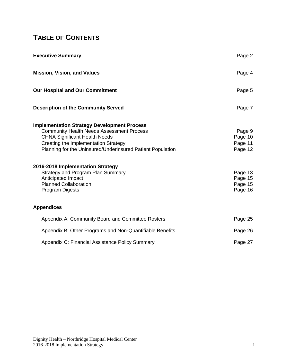# **TABLE OF CONTENTS**

| <b>Executive Summary</b>                                                                                                                                                                                                                                                                                                                                                                    | Page 2                                                                   |
|---------------------------------------------------------------------------------------------------------------------------------------------------------------------------------------------------------------------------------------------------------------------------------------------------------------------------------------------------------------------------------------------|--------------------------------------------------------------------------|
| <b>Mission, Vision, and Values</b>                                                                                                                                                                                                                                                                                                                                                          | Page 4                                                                   |
| <b>Our Hospital and Our Commitment</b>                                                                                                                                                                                                                                                                                                                                                      | Page 5                                                                   |
| <b>Description of the Community Served</b>                                                                                                                                                                                                                                                                                                                                                  | Page 7                                                                   |
| <b>Implementation Strategy Development Process</b><br><b>Community Health Needs Assessment Process</b><br><b>CHNA Significant Health Needs</b><br>Creating the Implementation Strategy<br>Planning for the Uninsured/Underinsured Patient Population<br>2016-2018 Implementation Strategy<br><b>Strategy and Program Plan Summary</b><br>Anticipated Impact<br><b>Planned Collaboration</b> | Page 9<br>Page 10<br>Page 11<br>Page 12<br>Page 13<br>Page 15<br>Page 15 |
| <b>Program Digests</b>                                                                                                                                                                                                                                                                                                                                                                      | Page 16                                                                  |
| <b>Appendices</b>                                                                                                                                                                                                                                                                                                                                                                           |                                                                          |
| Appendix A: Community Board and Committee Rosters                                                                                                                                                                                                                                                                                                                                           | Page 25                                                                  |
| Appendix B: Other Programs and Non-Quantifiable Benefits                                                                                                                                                                                                                                                                                                                                    | Page 26                                                                  |
| Appendix C: Financial Assistance Policy Summary                                                                                                                                                                                                                                                                                                                                             | Page 27                                                                  |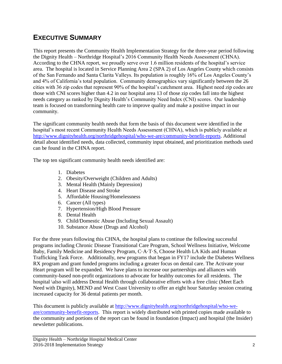## **EXECUTIVE SUMMARY**

This report presents the Community Health Implementation Strategy for the three-year period following the Dignity Health – Northridge Hospital's 2016 Community Health Needs Assessment (CHNA). According to the CHNA report, we proudly serve over 1.6 million residents of the hospital's service area. The hospital is located in Service Planning Area 2 (SPA 2) of Los Angeles County which consists of the San Fernando and Santa Clarita Valleys. Its population is roughly 16% of Los Angeles County's and 4% of California's total population. Community demographics vary significantly between the 26 cities with 36 zip codes that represent 90% of the hospital's catchment area. Highest need zip codes are those with CNI scores higher than 4.2 in our hospital area 13 of those zip codes fall into the highest needs category as ranked by Dignity Health's Community Need Index (CNI) scores. Our leadership team is focused on transforming health care to improve quality and make a positive impact in our community.

The significant community health needs that form the basis of this document were identified in the hospital's most recent Community Health Needs Assessment (CHNA), which is publicly available at [http://www.dignityhealth.org/northridgehospital/who-we-are/community-benefit-reports.](http://www.dignityhealth.org/northridgehospital/who-we-are/community-benefit-reports) Additional detail about identified needs, data collected, community input obtained, and prioritization methods used can be found in the CHNA report.

The top ten significant community health needs identified are:

- 1. Diabetes
- 2. Obesity/Overweight (Children and Adults)
- 3. Mental Health (Mainly Depression)
- 4. Heart Disease and Stroke
- 5. Affordable Housing/Homelessness
- 6. Cancer (All types)
- 7. Hypertension/High Blood Pressure
- 8. Dental Health
- 9. Child/Domestic Abuse (Including Sexual Assault)
- 10. Substance Abuse (Drugs and Alcohol)

For the three years following this CHNA, the hospital plans to continue the following successful programs including Chronic Disease Transitional Care Program, School Wellness Initiative, Welcome Baby, Family Medicine and Residency Program, C·A·T·S, Choose Health LA Kids and Human Trafficking Task Force. Additionally, new programs that began in FY17 include the Diabetes Wellness RX program and grant funded programs including a greater focus on dental care. The Activate your Heart program will be expanded. We have plans to increase our partnerships and alliances with community-based non-profit organizations to advocate for healthy outcomes for all residents. The hospital \also will address Dental Health through collaborative efforts with a free clinic (Meet Each Need with Dignity), MEND and West Coast University to offer an eight hour Saturday session creating increased capacity for 36 dental patients per month.

This document is publicly available at [http://www.dignityhealth.org/northridgehospital/who-we](http://www.dignityhealth.org/northridgehospital/who-we-are/community-benefit-reports)[are/community-benefit-reports.](http://www.dignityhealth.org/northridgehospital/who-we-are/community-benefit-reports) This report is widely distributed with printed copies made available to the community and portions of the report can be found in foundation (Impact) and hospital (the Insider) newsletter publications.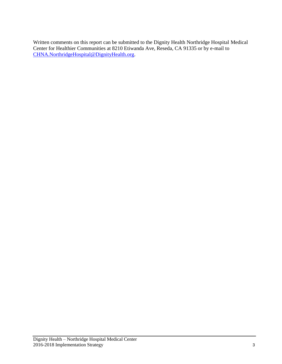Written comments on this report can be submitted to the Dignity Health Northridge Hospital Medical Center for Healthier Communities at 8210 Etiwanda Ave, Reseda, CA 91335 or by e-mail to [CHNA.NorthridgeHospital@DignityHealth.org.](mailto:CHNA.NorthridgeHospital@DignityHealth.org)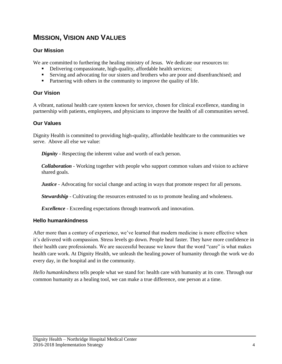# **MISSION, VISION AND VALUES**

### **Our Mission**

We are committed to furthering the healing ministry of Jesus. We dedicate our resources to:

- Delivering compassionate, high-quality, affordable health services;
- Serving and advocating for our sisters and brothers who are poor and disenfranchised; and
- **Partnering with others in the community to improve the quality of life.**

### **Our Vision**

A vibrant, national health care system known for service, chosen for clinical excellence, standing in partnership with patients, employees, and physicians to improve the health of all communities served.

### **Our Values**

Dignity Health is committed to providing high-quality, affordable healthcare to the communities we serve. Above all else we value:

*Dignity* - Respecting the inherent value and worth of each person.

*Collaboration* - Working together with people who support common values and vision to achieve shared goals.

*Justice* - Advocating for social change and acting in ways that promote respect for all persons.

*Stewardship* - Cultivating the resources entrusted to us to promote healing and wholeness.

*Excellence* - Exceeding expectations through teamwork and innovation.

### **Hello humankindness**

After more than a century of experience, we've learned that modern medicine is more effective when it's delivered with compassion. Stress levels go down. People heal faster. They have more confidence in their health care professionals. We are successful because we know that the word "care" is what makes health care work. At Dignity Health, we unleash the healing power of humanity through the work we do every day, in the hospital and in the community.

*Hello humankindness* tells people what we stand for: health care with humanity at its core. Through our common humanity as a healing tool, we can make a true difference, one person at a time.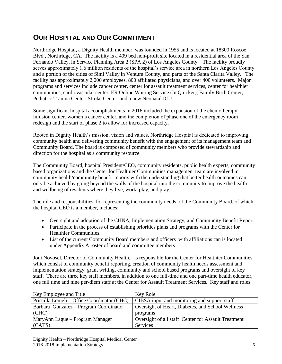## **OUR HOSPITAL AND OUR COMMITMENT**

Northridge Hospital, a Dignity Health member, was founded in 1955 and is located at 18300 Roscoe Blvd., Northridge, CA. The facility is a 409 bed non-profit site located in a residential area of the San Fernando Valley, in Service Planning Area 2 (SPA 2) of Los Angeles County. The facility proudly serves approximately 1.6 million residents of the hospital's service area in northern Los Angeles County and a portion of the cities of Simi Valley in Ventura County, and parts of the Santa Clarita Valley. The facility has approximately 2,000 employees, 800 affiliated physicians, and over 400 volunteers. Major programs and services include cancer center, center for assault treatment services, center for healthier communities, cardiovascular center, ER Online Waiting Service (In Quicker), Family Birth Center, Pediatric Trauma Center, Stroke Center, and a new Neonatal ICU.

Some significant hospital accomplishments in 2016 included the expansion of the chemotherapy infusion center, women's cancer center, and the completion of phase one of the emergency room redesign and the start of phase 2 to allow for increased capacity.

Rooted in Dignity Health's mission, vision and values, Northridge Hospital is dedicated to improving community health and delivering community benefit with the engagement of its management team and Community Board. The board is composed of community members who provide stewardship and direction for the hospital as a community resource.

The Community Board, hospital President/CEO, community residents, public health experts, community based organizations and the Center for Healthier Communities management team are involved in community health/community benefit reports with the understanding that better health outcomes can only be achieved by going beyond the walls of the hospital into the community to improve the health and wellbeing of residents where they live, work, play, and pray.

The role and responsibilities, for representing the community needs, of the Community Board, of which the hospital CEO is a member, includes:

- Oversight and adoption of the CHNA, Implementation Strategy, and Community Benefit Report
- Participate in the process of establishing priorities plans and programs with the Center for Healthier Communities.
- List of the current Community Board members and officers with affiliations can is located under Appendix A roster of board and committee members

Joni Novosel, Director of Community Health, is responsible for the Center for Healthier Communities which consist of community benefit reporting, creation of community health needs assessment and implementation strategy, grant writing, community and school based programs and oversight of key staff. There are three key staff members, in addition to one full-time and one part-time health educator, one full time and nine per-diem staff at the Center for Assault Treatment Services. Key staff and roles.

| Key Employee and Title                      | Key Role                                            |
|---------------------------------------------|-----------------------------------------------------|
| Priscilla Lomeli – Office Coordinator (CHC) | CIBSA input and monitoring and support staff        |
| Barbara Gonzalez – Program Coordinator      | Oversight of Heart, Diabetes, and School Wellness   |
| (CHC)                                       | programs                                            |
| MaryAnn Lague – Program Manager             | Oversight of all staff Center for Assault Treatment |
| (CATS)                                      | Services                                            |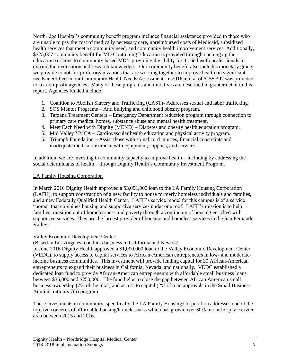Northridge Hospital's community benefit program includes financial assistance provided to those who are unable to pay the cost of medically necessary care, unreimbursed costs of Medicaid, subsidized health services that meet a community need, and community health improvement services. Additionally, \$325,067 community benefit for MD Continuing Education is provided through opening up the education sessions to community based MD's providing the ability for 3,166 health professionals to expand their education and research knowledge. Our community benefit also includes monetary grants we provide to not-for-profit organizations that are working together to improve health on significant needs identified in our Community Health Needs Assessment. In 2016 a total of \$155,392 was provided to six non-profit agencies. Many of these programs and initiatives are described in greater detail in this report. Agencies funded include:

- 1. Coalition to Abolish Slavery and Trafficking (CAST)- Addresses sexual and labor trafficking
- 2. SOS Mentor Programs Anti bullying and childhood obesity program.
- 3. Tarzana Treatment Centers Emergency Department reduction program through connection to primary care medical homes, substance abuse and mental health treatment.
- 4. Meet Each Need with Dignity (MEND) Diabetes and obesity health education program.
- 5. Mid Valley YMCA Cardiovascular health education and physical activity program.
- 6. Triumph Foundation Assist those with spinal cord injuries, financial constraints and inadequate medical insurance with equipment, supplies, and services.

In addition, we are investing in community capacity to improve health – including by addressing the social determinants of health – through Dignity Health's Community Investment Program.

#### LA Family Housing Corporation

In March 2016 Dignity Health approved a \$3,051,000 loan to the LA Family Housing Corporation (LAFH), to support construction of a new facility to house formerly homeless individuals and families, and a new Federally Qualified Health Center. LAFH's service model for this campus is of a service "home" that combines housing and supportive services under one roof. LAFH's mission is to help families transition out of homelessness and poverty through a continuum of housing enriched with supportive services. They are the largest provider of housing and homeless services in the San Fernando Valley.

#### Valley Economic Development Center

(Based in Los Angeles; conducts business in California and Nevada)

In June 2016 Dignity Health approved a \$1,000,000 loan to the Valley Economic Development Center (VEDC), to supply access to capital services to African-American entrepreneurs in low- and moderateincome business communities. This investment will provide lending capital for 30 African-American entrepreneurs to expand their business in California, Nevada, and nationally. VEDC established a dedicated loan fund to provide African-American entrepreneurs with affordable small business loans between \$35,000 and \$250,000. The fund helps to close the gap between African American small business ownership (7% of the total) and access to capital (2% of loan approvals in the Small Business Administration's 7(a) program.

These investments in community, specifically the LA Family Housing Corporation addresses one of the top five concerns of affordable housing/homelessness which has grown over 30% in our hospital service area between 2015 and 2016.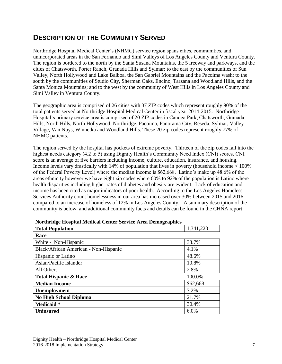## **DESCRIPTION OF THE COMMUNITY SERVED**

Northridge Hospital Medical Center's (NHMC) service region spans cities, communities, and unincorporated areas in the San Fernando and Simi Valleys of Los Angeles County and Ventura County. The region is bordered to the north by the Santa Susana Mountains, the 5 freeway and parkways, and the cities of Chatsworth, Porter Ranch, Granada Hills and Sylmar; to the east by the communities of Sun Valley, North Hollywood and Lake Balboa, the San Gabriel Mountains and the Pacoima wash; to the south by the communities of Studio City, Sherman Oaks, Encino, Tarzana and Woodland Hills, and the Santa Monica Mountains; and to the west by the community of West Hills in Los Angeles County and Simi Valley in Ventura County.

The geographic area is comprised of 26 cities with 37 ZIP codes which represent roughly 90% of the total patients served at Northridge Hospital Medical Center in fiscal year 2014-2015. Northridge Hospital's primary service area is comprised of 20 ZIP codes in Canoga Park, Chatsworth, Granada Hills, North Hills, North Hollywood, Northridge, Pacoima, Panorama City, Reseda, Sylmar, Valley Village, Van Nuys, Winnetka and Woodland Hills. These 20 zip codes represent roughly 77% of NHMC patients.

The region served by the hospital has pockets of extreme poverty. Thirteen of the zip codes fall into the highest needs category (4.2 to 5) using Dignity Health's Community Need Index (CNI) scores. CNI score is an average of five barriers including income, culture, education, insurance, and housing. Income levels vary drastically with 14% of population that lives in poverty (household income < 100% of the Federal Poverty Level) where the median income is \$62,668. Latino's make up 48.6% of the areas ethnicity however we have eight zip codes where 60% to 92% of the population is Latino where health disparities including higher rates of diabetes and obesity are evident. Lack of education and income has been cited as major indicators of poor health. According to the Los Angeles Homeless Services Authority count homelessness in our area has increased over 30% between 2015 and 2016 compared to an increase of homeless of 12% in Los Angeles County. A summary description of the community is below, and additional community facts and details can be found in the CHNA report.

| <b>Total Population</b>               | 1,341,223 |
|---------------------------------------|-----------|
| Race                                  |           |
| White - Non-Hispanic                  | 33.7%     |
| Black/African American - Non-Hispanic | 4.1%      |
| Hispanic or Latino                    | 48.6%     |
| Asian/Pacific Islander                | 10.8%     |
| All Others                            | 2.8%      |
| <b>Total Hispanic &amp; Race</b>      | 100.0%    |
| <b>Median Income</b>                  | \$62,668  |
| Unemployment                          | 7.2%      |
| <b>No High School Diploma</b>         | 21.7%     |
| Medicaid *                            | 30.4%     |
| <b>Uninsured</b>                      | 6.0%      |

|  |  | <b>Northridge Hospital Medical Center Service Area Demographics</b> |
|--|--|---------------------------------------------------------------------|
|  |  |                                                                     |
|  |  |                                                                     |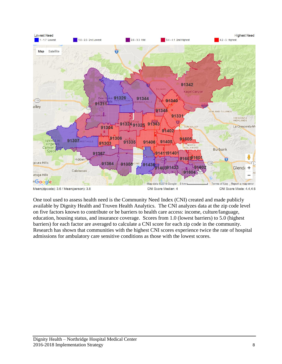

One tool used to assess health need is the Community Need Index (CNI) created and made publicly available by Dignity Health and Truven Health Analytics. The CNI analyzes data at the zip code level on five factors known to contribute or be barriers to health care access: income, culture/language, education, housing status, and insurance coverage. Scores from 1.0 (lowest barriers) to 5.0 (highest barriers) for each factor are averaged to calculate a CNI score for each zip code in the community. Research has shown that communities with the highest CNI scores experience twice the rate of hospital admissions for ambulatory care sensitive conditions as those with the lowest scores.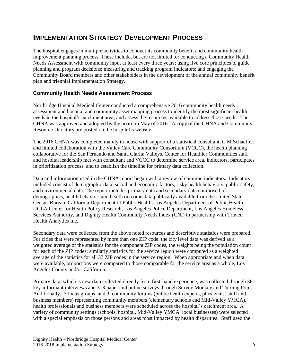## **IMPLEMENTATION STRATEGY DEVELOPMENT PROCESS**

The hospital engages in multiple activities to conduct its community benefit and community health improvement planning process. These include, but are not limited to: conducting a Community Health Needs Assessment with community input at least every three years; using five core principles to guide planning and program decisions; measuring and tracking program indicators; and engaging the Community Board members and other stakeholders in the development of the annual community benefit plan and triennial Implementation Strategy.

### **Community Health Needs Assessment Process**

Northridge Hospital Medical Center conducted a comprehensive 2016 community health needs assessment and hospital and community asset mapping process to identify the most significant health needs in the hospital's catchment area, and assess the resources available to address those needs. The CHNA was approved and adopted by the board in May of 2016. A copy of the CHNA and Community Resource Directory are posted on the hospital's website.

The 2016 CHNA was completed mainly in house with support of a statistical consultant, C M Schaeffer, and limited collaboration with the Valley Care Community Consortium (VCCC), the health planning collaborative for the San Fernando and Santa Clarita Valleys. Center for Healthier Communities staff and hospital leadership met with consultant and VCCC to determine service area, indicators, participates in prioritization process, and to establish the timeline for primary data collection.

Data and information used in the CHNA report began with a review of common indicators. Indicators included consist of demographic data, social and economic factors, risky health behaviors, public safety, and environmental data. The report includes primary data and secondary data comprised of demographics, health behavior, and health outcome data publically available from the United States Census Bureau, California Department of Public Health, Los Angeles Department of Public Health, UCLA Center for Health Policy Research, Los Angeles Police Department, Los Angeles Homeless Services Authority, and Dignity Health Community Needs Index (CNI) in partnership with Truven Health Analytics Inc.

Secondary data were collected from the above noted resources and descriptive statistics were prepared. For cities that were represented by more than one ZIP code, the city level data was derived as a weighted average of the statistics for the component ZIP codes, the weights being the population count for each of the ZIP codes; similarly statistics for the service region were computed as a weighted average of the statistics for all 37 ZIP codes in the service region. When appropriate and when data were available, proportions were compared to those comparable for the service area as a whole, Los Angeles County and/or California.

Primary data, which is new data collected directly from first-hand experience, was collected through 36 key-informant interviews and 313 paper and online surveys through Survey Monkey and Turning Point. Additionally, 5 focus groups and 3 community forums (public health experts, physicians' staff and business members) representing community members (elementary schools and Mid-Valley YMCA), health professionals and business members were scheduled across the hospital's catchment area. A variety of community settings (schools, hospital, Mid-Valley YMCA, local businesses) were selected with a special emphasis on those persons and areas most impacted by health disparities. Staff used the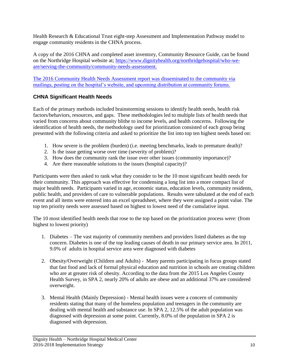Health Research & Educational Trust eight-step Assessment and Implementation Pathway model to engage community residents in the CHNA process.

A copy of the 2016 CHNA and completed asset inventory, Community Resource Guide, can be found on the Northridge Hospital website at; [https://www.dignityhealth.org/northridgehospital/who-we](https://www.dignityhealth.org/northridgehospital/who-we-are/serving-the-community/community-needs-assessment)[are/serving-the-community/community-needs-assessment.](https://www.dignityhealth.org/northridgehospital/who-we-are/serving-the-community/community-needs-assessment)

The 2016 Community Health Needs Assessment report was disseminated to the community via mailings, posting on the hospital's website, and upcoming distribution at community forums.

### **CHNA Significant Health Needs**

Each of the primary methods included brainstorming sessions to identify health needs, health risk factors/behaviors, resources, and gaps. These methodologies led to multiple lists of health needs that varied from concerns about community blithe to income levels, and health concerns. Following the identification of health needs, the methodology used for prioritization consisted of each group being presented with the following criteria and asked to prioritize the list into top ten highest needs based on:

- 1. How severe is the problem (burden) (i.e. meeting benchmarks, leads to premature death)?
- 2. Is the issue getting worse over time (severity of problem)?
- 3. How does the community rank the issue over other issues (community importance)?
- 4. Are there reasonable solutions to the issues (hospital capacity)?

Participants were then asked to rank what they consider to be the 10 most significant health needs for their community. This approach was effective for condensing a long list into a more compact list of major health needs. Participants varied in age, economic status, education levels, community residents, public health, and providers of care to vulnerable populations. Results were tabulated at the end of each event and all items were entered into an excel spreadsheet, where they were assigned a point value. The top ten priority needs were assessed based on highest to lowest need of the cumulative input.

The 10 most identified health needs that rose to the top based on the prioritization process were: (from highest to lowest priority)

- 1. Diabetes The vast majority of community members and providers listed diabetes as the top concern. Diabetes is one of the top leading causes of death in our primary service area. In 2011, 9.0% of adults in hospital service area were diagnosed with diabetes
- 2. Obesity/Overweight (Children and Adults) Many parents participating in focus groups stated that fast food and lack of formal physical education and nutrition in schools are creating children who are at greater risk of obesity. According to the data from the 2015 Los Angeles County Health Survey, in SPA 2, nearly 20% of adults are obese and an additional 37% are considered overweight.
- 3. Mental Health (Mainly Depression) Mental health issues were a concern of community residents stating that many of the homeless population and teenagers in the community are dealing with mental health and substance use. In SPA 2, 12.5% of the adult population was diagnosed with depression at some point. Currently, 8.0% of the population in SPA 2 is diagnosed with depression.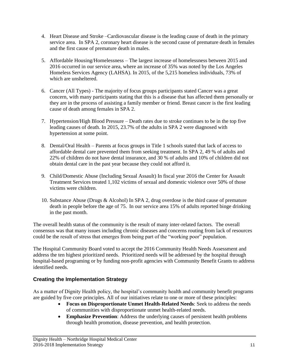- 4. Heart Disease and Stroke –Cardiovascular disease is the leading cause of death in the primary service area. In SPA 2, coronary heart disease is the second cause of premature death in females and the first cause of premature death in males.
- 5. Affordable Housing/Homelessness The largest increase of homelessness between 2015 and 2016 occurred in our service area, where an increase of 35% was noted by the Los Angeles Homeless Services Agency (LAHSA). In 2015, of the 5,215 homeless individuals, 73% of which are unsheltered.
- 6. Cancer (All Types) The majority of focus groups participants stated Cancer was a great concern, with many participants stating that this is a disease that has affected them personally or they are in the process of assisting a family member or friend. Breast cancer is the first leading cause of death among females in SPA 2.
- 7. Hypertension/High Blood Pressure Death rates due to stroke continues to be in the top five leading causes of death. In 2015, 23.7% of the adults in SPA 2 were diagnosed with hypertension at some point.
- 8. Dental/Oral Health Parents at focus groups in Title 1 schools stated that lack of access to affordable dental care prevented them from seeking treatment. In SPA 2, 49 % of adults and 22% of children do not have dental insurance, and 30 % of adults and 10% of children did not obtain dental care in the past year because they could not afford it.
- 9. Child/Domestic Abuse (Including Sexual Assault) In fiscal year 2016 the Center for Assault Treatment Services treated 1,102 victims of sexual and domestic violence over 50% of those victims were children.
- 10. Substance Abuse (Drugs & Alcohol) In SPA 2, drug overdose is the third cause of premature death in people before the age of 75. In our service area 15% of adults reported binge drinking in the past month.

The overall health status of the community is the result of many inter-related factors. The overall consensus was that many issues including chronic diseases and concerns routing from lack of resources could be the result of stress that emerges from being part of the "working poor" population.

The Hospital Community Board voted to accept the 2016 Community Health Needs Assessment and address the ten highest prioritized needs. Prioritized needs will be addressed by the hospital through hospital-based programing or by funding non-profit agencies with Community Benefit Grants to address identified needs.

### **Creating the Implementation Strategy**

As a matter of Dignity Health policy, the hospital's community health and community benefit programs are guided by five core principles. All of our initiatives relate to one or more of these principles:

- **Focus on Disproportionate Unmet Health-Related Needs**: Seek to address the needs of communities with disproportionate unmet health-related needs.
- **Emphasize Prevention**: Address the underlying causes of persistent health problems through health promotion, disease prevention, and health protection.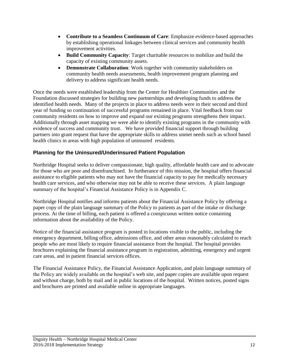- **Contribute to a Seamless Continuum of Care**: Emphasize evidence-based approaches by establishing operational linkages between clinical services and community health improvement activities.
- **Build Community Capacity**: Target charitable resources to mobilize and build the capacity of existing community assets.
- **Demonstrate Collaboration**: Work together with community stakeholders on community health needs assessments, health improvement program planning and delivery to address significant health needs.

Once the needs were established leadership from the Center for Healthier Communities and the Foundation discussed strategies for building new partnerships and developing funds to address the identified health needs. Many of the projects in place to address needs were in their second and third year of funding so continuation of successful programs remained in place. Vital feedback from our community residents on how to improve and expand our existing programs strengthens their impact. Additionally through asset mapping we were able to identify existing programs in the community with evidence of success and community trust. We have provided financial support through building partners into grant request that have the appropriate skills to address unmet needs such as school based health clinics in areas with high population of uninsured residents.

### **Planning for the Uninsured/Underinsured Patient Population**

Northridge Hospital seeks to deliver compassionate, high quality, affordable health care and to advocate for those who are poor and disenfranchised. In furtherance of this mission, the hospital offers financial assistance to eligible patients who may not have the financial capacity to pay for medically necessary health care services, and who otherwise may not be able to receive these services. A plain language summary of the hospital's Financial Assistance Policy is in Appendix C.

Northridge Hospital notifies and informs patients about the Financial Assistance Policy by offering a paper copy of the plain language summary of the Policy to patients as part of the intake or discharge process. At the time of billing, each patient is offered a conspicuous written notice containing information about the availability of the Policy.

Notice of the financial assistance program is posted in locations visible to the public, including the emergency department, billing office, admissions office, and other areas reasonably calculated to reach people who are most likely to require financial assistance from the hospital. The hospital provides brochures explaining the financial assistance program in registration, admitting, emergency and urgent care areas, and in patient financial services offices.

The Financial Assistance Policy, the Financial Assistance Application, and plain language summary of the Policy are widely available on the hospital's web site, and paper copies are available upon request and without charge, both by mail and in public locations of the hospital. Written notices, posted signs and brochures are printed and available online in appropriate languages.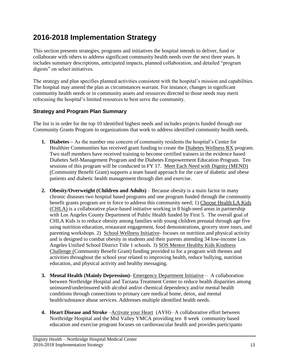# **2016-2018 Implementation Strategy**

This section presents strategies, programs and initiatives the hospital intends to deliver, fund or collaborate with others to address significant community health needs over the next three years. It includes summary descriptions, anticipated impacts, planned collaboration, and detailed "program digests" on select initiatives.

The strategy and plan specifies planned activities consistent with the hospital's mission and capabilities. The hospital may amend the plan as circumstances warrant. For instance, changes in significant community health needs or in community assets and resources directed to those needs may merit refocusing the hospital's limited resources to best serve the community.

### **Strategy and Program Plan Summary**

The list is in order for the top 10 identified highest needs and includes projects funded through our Community Grants Program to organizations that work to address identified community health needs.

- **1. Diabetes –** As the number one concern of community residents the hospital's Center for Healthier Communities has received grant funding to create the Diabetes Wellness RX program. Two staff members have received training to become certified trainers in the evidence based Diabetes Self-Management Program and the Diabetes Empowerment Education Program. Ten sessions of this program will be conducted in FY 17. Meet Each Need with Dignity (MEND) (Community Benefit Grant) supports a team based approach for the care of diabetic and obese patients and diabetic health management through diet and exercise.
- **2. Obesity/Overweight (Children and Adults)** Because obesity is a main factor in many chronic diseases two hospital based programs and one program funded through the community benefit grants program are in force to address this community need; 1) Choose Health LA Kids (CHLA) is a collaborative place-based initiative working in 8 high-need areas in partnership with Los Angeles County Department of Public Health funded by First 5. The overall goal of CHLA Kids is to reduce obesity among families with young children prenatal through age five using nutrition education, restaurant engagement, food demonstrations, grocery store tours, and parenting workshops. 2) School Wellness Initiative- focuses on nutrition and physical activity and is designed to combat obesity in students and their parents attending 34 low-income Los Angeles Unified School District Title 1 schools. 3) SOS Mentor Healthy Kids Kindness Challenge (Community Benefit Grant) funding provided to for a program with themes and activities throughout the school year related to improving health, reduce bullying, nutrition education, and physical activity and healthy messaging.
- **3. Mental Health (Mainly Depression)** Emergency Department Initiative A collaboration between Northridge Hospital and Tarzana Treatment Center to reduce health disparities among uninsured/underinsured with alcohol and/or chemical dependency and/or mental health conditions through connections to primary care medical home, detox, and mental health/substance abuse services. Addresses multiple identified health needs.
- **4. Heart Disease and Stroke Activate your Heart** (AYH)– A collaborative effort between Northridge Hospital and the Mid Valley YMCA providing ten 8 week community based education and exercise program focuses on cardiovascular health and provides participants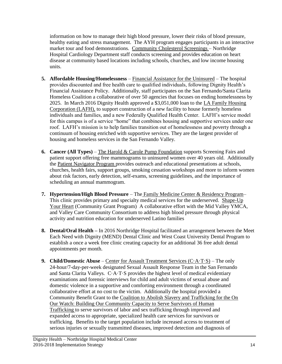information on how to manage their high blood pressure, lower their risks of blood pressure, healthy eating and stress management. The AYH program engages participants in an interactive market tour and food demonstrations. Community Cholesterol Screenings – Northridge Hospital Cardiology Department staff conducts screening and provides education on heart disease at community based locations including schools, churches, and low income housing units.

- **5. Affordable Housing/Homelessness** Financial Assistance for the Uninsured The hospital provides discounted and free health care to qualified individuals, following Dignity Health's Financial Assistance Policy. Additionally, staff participates on the San Fernando/Santa Clarita Homeless Coalition a collaborative of over 50 agencies that focuses on ending homelessness by 2025. In March 2016 Dignity Health approved a \$3,051,000 loan to the LA Family Housing Corporation (LAFH), to support construction of a new facility to house formerly homeless individuals and families, and a new Federally Qualified Health Center. LAFH's service model for this campus is of a service "home" that combines housing and supportive services under one roof. LAFH's mission is to help families transition out of homelessness and poverty through a continuum of housing enriched with supportive services. They are the largest provider of housing and homeless services in the San Fernando Valley.
- **6. Cancer (All Types)** The Harold & Carole Pump Foundation supports Screening Fairs and patient support offering free mammograms to uninsured women over 40 years old. Additionally the Patient Navigator Program provides outreach and educational presentations at schools, churches, health fairs, support groups, smoking cessation workshops and more to inform women about risk factors, early detection, self-exams, screening guidelines, and the importance of scheduling an annual mammogram.
- **7. Hypertension/High Blood Pressure** The Family Medicine Center & Residency Program– This clinic provides primary and specialty medical services for the underserved. Shape-Up Your Heart (Community Grant Program) A collaborative effort with the Mid Valley YMCA, and Valley Care Community Consortium to address high blood pressure through physical activity and nutrition education for underserved Latino families
- **8. Dental/Oral Health –** In 2016 Northridge Hospital facilitated an arrangement between the Meet Each Need with Dignity (MEND) Dental Clinic and West Coast University Dental Program to establish a once a week free clinic creating capacity for an additional 36 free adult dental appointments per month.
- **9. Child/Domestic Abuse** Center for Assault Treatment Services (C·A·T·S) The only 24-hour/7-day-per-week designated Sexual Assault Response Team in the San Fernando and Santa Clarita Valleys. C·A·T·S provides the highest level of medical evidentiary examinations and forensic interviews for child and adult victims of sexual abuse and domestic violence in a supportive and comforting environment through a coordinated collaborative effort at no cost to the victim. Additionally the hospital provided a Community Benefit Grant to the Coalition to Abolish Slavery and Trafficking for the On Our Watch: Building Our Community Capacity to Serve Survivors of Human Trafficking to serve survivors of labor and sex trafficking through improved and expanded access to appropriate, specialized health care services for survivors or trafficking. Benefits to the target population include increased access to treatment of serious injuries or sexually transmitted diseases, improved detection and diagnosis of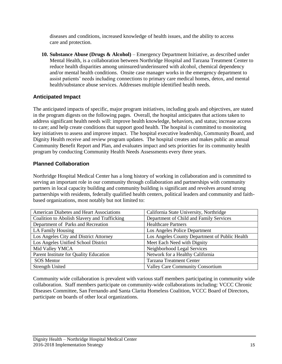diseases and conditions, increased knowledge of health issues, and the ability to access care and protection.

**10. Substance Abuse (Drugs & Alcohol)** – Emergency Department Initiative, as described under Mental Health, is a collaboration between Northridge Hospital and Tarzana Treatment Center to reduce health disparities among uninsured/underinsured with alcohol, chemical dependency and/or mental health conditions. Onsite case manager works in the emergency department to assist patients' needs including connections to primary care medical homes, detox, and mental health/substance abuse services. Addresses multiple identified health needs.

### **Anticipated Impact**

The anticipated impacts of specific, major program initiatives, including goals and objectives, are stated in the program digests on the following pages. Overall, the hospital anticipates that actions taken to address significant health needs will: improve health knowledge, behaviors, and status; increase access to care; and help create conditions that support good health. The hospital is committed to monitoring key initiatives to assess and improve impact. The hospital executive leadership, Community Board, and Dignity Health receive and review program updates. The hospital creates and makes public an annual Community Benefit Report and Plan, and evaluates impact and sets priorities for its community health program by conducting Community Health Needs Assessments every three years.

### **Planned Collaboration**

Northridge Hospital Medical Center has a long history of working in collaboration and is committed to serving an important role in our community through collaboration and partnerships with community partners in local capacity building and community building is significant and revolves around strong partnerships with residents, federally qualified health centers, political leaders and community and faithbased organizations, most notably but not limited to:

| American Diabetes and Heart Associations     | California State University, Northridge        |
|----------------------------------------------|------------------------------------------------|
| Coalition to Abolish Slavery and Trafficking | Department of Child and Family Services        |
| Department of Parks and Recreation           | <b>Healthcare Partners</b>                     |
| LA Family Housing                            | Los Angeles Police Department                  |
| Los Angeles City and District Attorney       | Los Angeles County Department of Public Health |
| Los Angeles Unified School District          | Meet Each Need with Dignity                    |
| Mid Valley YMCA                              | Neighborhood Legal Services                    |
| Parent Institute for Quality Education       | Network for a Healthy California               |
| <b>SOS</b> Mentor                            | <b>Tarzana Treatment Center</b>                |
| <b>Strength United</b>                       | <b>Valley Care Community Consortium</b>        |

Community wide collaboration is prevalent with various staff members participating in community wide collaboration. Staff members participate on community-wide collaborations including: VCCC Chronic Diseases Committee, San Fernando and Santa Clarita Homeless Coalition, VCCC Board of Directors, participate on boards of other local organizations.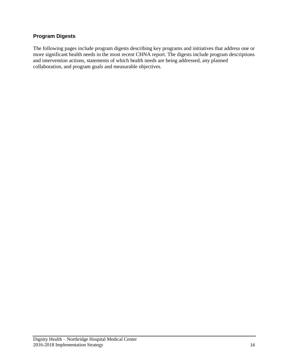### **Program Digests**

The following pages include program digests describing key programs and initiatives that address one or more significant health needs in the most recent CHNA report. The digests include program descriptions and intervention actions, statements of which health needs are being addressed, any planned collaboration, and program goals and measurable objectives.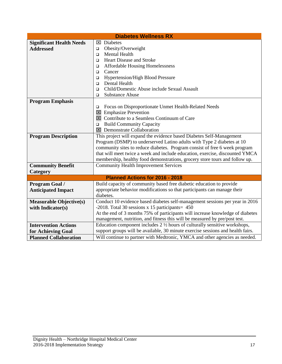| <b>Diabetes Wellness RX</b>     |                                                                                                                                                            |  |  |
|---------------------------------|------------------------------------------------------------------------------------------------------------------------------------------------------------|--|--|
| <b>Significant Health Needs</b> | $\boxtimes$ Diabetes                                                                                                                                       |  |  |
| <b>Addressed</b>                | Obesity/Overweight<br>$\Box$                                                                                                                               |  |  |
|                                 | Mental Health<br>$\Box$                                                                                                                                    |  |  |
|                                 | <b>Heart Disease and Stroke</b><br>$\Box$                                                                                                                  |  |  |
|                                 | <b>Affordable Housing Homelessness</b><br>$\Box$                                                                                                           |  |  |
|                                 | Cancer<br>◻                                                                                                                                                |  |  |
|                                 | <b>Hypertension/High Blood Pressure</b><br>□                                                                                                               |  |  |
|                                 | Dental Health<br>$\Box$                                                                                                                                    |  |  |
|                                 | Child/Domestic Abuse include Sexual Assault<br>□                                                                                                           |  |  |
|                                 | <b>Substance Abuse</b><br>□                                                                                                                                |  |  |
| <b>Program Emphasis</b>         |                                                                                                                                                            |  |  |
|                                 | Focus on Disproportionate Unmet Health-Related Needs<br>□                                                                                                  |  |  |
|                                 | $\boxtimes$ Emphasize Prevention                                                                                                                           |  |  |
|                                 | $\boxtimes$ Contribute to a Seamless Continuum of Care                                                                                                     |  |  |
|                                 | <b>Build Community Capacity</b><br>□                                                                                                                       |  |  |
|                                 | $\boxtimes$ Demonstrate Collaboration                                                                                                                      |  |  |
| <b>Program Description</b>      | This project will expand the evidence based Diabetes Self-Management                                                                                       |  |  |
|                                 | Program (DSMP) to underserved Latino adults with Type 2 diabetes at 10                                                                                     |  |  |
|                                 | community sites to reduce diabetes. Program consist of free 6 week program<br>that will meet twice a week and include education, exercise, discounted YMCA |  |  |
|                                 | membership, healthy food demonstrations, grocery store tours and follow up.                                                                                |  |  |
| <b>Community Benefit</b>        | <b>Community Health Improvement Services</b>                                                                                                               |  |  |
| Category                        |                                                                                                                                                            |  |  |
|                                 | <b>Planned Actions for 2016 - 2018</b>                                                                                                                     |  |  |
| Program Goal /                  | Build capacity of community based free diabetic education to provide                                                                                       |  |  |
| <b>Anticipated Impact</b>       | appropriate behavior modifications so that participants can manage their                                                                                   |  |  |
|                                 | diabetes.                                                                                                                                                  |  |  |
| <b>Measurable Objective(s)</b>  | Conduct 10 evidence based diabetes self-management sessions per year in 2016                                                                               |  |  |
| with Indicator(s)               | $-2018$ . Total 30 sessions x 15 participants = 450                                                                                                        |  |  |
|                                 | At the end of 3 months 75% of participants will increase knowledge of diabetes                                                                             |  |  |
|                                 | management, nutrition, and fitness this will be measured by pre/post test.                                                                                 |  |  |
| <b>Intervention Actions</b>     | Education component includes $2\frac{1}{2}$ hours of culturally sensitive workshops,                                                                       |  |  |
| for Achieving Goal              | support groups will be available, 30 minute exercise sessions and health fairs.                                                                            |  |  |
| <b>Planned Collaboration</b>    | Will continue to partner with Medtronic, YMCA and other agencies as needed.                                                                                |  |  |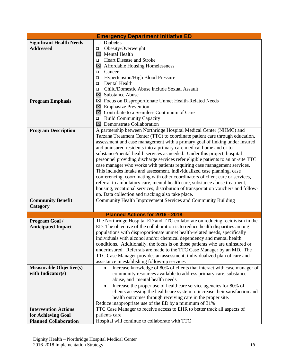| <b>Emergency Department Initiative ED</b> |                                                                                                                                    |  |
|-------------------------------------------|------------------------------------------------------------------------------------------------------------------------------------|--|
| <b>Significant Health Needs</b>           | <b>Diabetes</b>                                                                                                                    |  |
| <b>Addressed</b>                          | Obesity/Overweight<br>▫                                                                                                            |  |
|                                           | $\boxtimes$ Mental Health                                                                                                          |  |
|                                           | <b>Heart Disease and Stroke</b><br>$\Box$                                                                                          |  |
|                                           | $\boxtimes$ Affordable Housing Homelessness                                                                                        |  |
|                                           | Cancer<br>□                                                                                                                        |  |
|                                           | <b>Hypertension/High Blood Pressure</b><br>□                                                                                       |  |
|                                           | Dental Health<br>□                                                                                                                 |  |
|                                           | Child/Domestic Abuse include Sexual Assault<br>□                                                                                   |  |
|                                           | <b>⊠</b> Substance Abuse                                                                                                           |  |
| <b>Program Emphasis</b>                   | ⊠ Focus on Disproportionate Unmet Health-Related Needs                                                                             |  |
|                                           | $\boxtimes$ Emphasize Prevention                                                                                                   |  |
|                                           | $\boxtimes$ Contribute to a Seamless Continuum of Care                                                                             |  |
|                                           | <b>Build Community Capacity</b><br>□                                                                                               |  |
|                                           | $\boxtimes$ Demonstrate Collaboration                                                                                              |  |
| <b>Program Description</b>                | A partnership between Northridge Hospital Medical Center (NHMC) and                                                                |  |
|                                           | Tarzana Treatment Center (TTC) to coordinate patient care through education,                                                       |  |
|                                           | assessment and case management with a primary goal of linking under insured                                                        |  |
|                                           | and uninsured residents into a primary care medical home and or to                                                                 |  |
|                                           | substance/mental health services as needed. Under this project, hospital                                                           |  |
|                                           | personnel providing discharge services refer eligible patients to an on-site TTC                                                   |  |
|                                           | case manager who works with patients requiring case management services.                                                           |  |
|                                           | This includes intake and assessment, individualized case planning, case                                                            |  |
|                                           | conferencing, coordinating with other coordinators of client care or services,                                                     |  |
|                                           | referral to ambulatory care, mental health care, substance abuse treatment,                                                        |  |
|                                           | housing, vocational services, distribution of transportation vouchers and follow-                                                  |  |
|                                           | up. Data collection and tracking also take place.                                                                                  |  |
| <b>Community Benefit</b>                  | Community Health Improvement Services and Community Building                                                                       |  |
| Category                                  |                                                                                                                                    |  |
|                                           | Planned Actions for 2016 - 2018                                                                                                    |  |
| Program Goal /                            | The Northridge Hospital ED and TTC collaborate on reducing recidivism in the                                                       |  |
| <b>Anticipated Impact</b>                 | ED. The objective of the collaboration is to reduce health disparities among                                                       |  |
|                                           | populations with disproportionate unmet health-related needs, specifically                                                         |  |
|                                           | individuals with alcohol and/or chemical dependency and mental health                                                              |  |
|                                           | conditions. Additionally, the focus is on those patients who are uninsured or                                                      |  |
|                                           | underinsured. Referrals are made to the TTC Case Manager by an MD. The                                                             |  |
|                                           | TTC Case Manager provides an assessment, individualized plan of care and                                                           |  |
|                                           | assistance in establishing follow-up services                                                                                      |  |
| <b>Measurable Objective(s)</b>            | Increase knowledge of 80% of clients that interact with case manager of                                                            |  |
| with Indicator(s)                         | community resources available to address primary care, substance                                                                   |  |
|                                           | abuse, and mental health needs                                                                                                     |  |
|                                           | Increase the proper use of healthcare service agencies for 80% of                                                                  |  |
|                                           | clients accessing the healthcare system to increase their satisfaction and                                                         |  |
|                                           | health outcomes through receiving care in the proper site.                                                                         |  |
|                                           |                                                                                                                                    |  |
| <b>Intervention Actions</b>               | Reduce inappropriate use of the ED by a minimum of 31%<br>TTC Case Manager to receive access to EHR to better track all aspects of |  |
|                                           |                                                                                                                                    |  |
| for Achieving Goal                        | patients care                                                                                                                      |  |
| <b>Planned Collaboration</b>              | Hospital will continue to collaborate with TTC                                                                                     |  |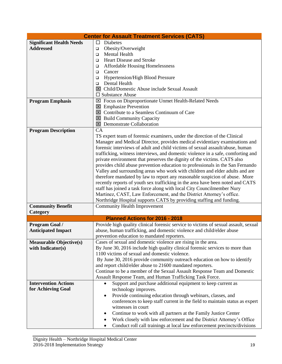|                                 | <b>Center for Assault Treatment Services (CATS)</b>                                 |
|---------------------------------|-------------------------------------------------------------------------------------|
| <b>Significant Health Needs</b> | $\Box$<br><b>Diabetes</b>                                                           |
| <b>Addressed</b>                | Obesity/Overweight<br>□                                                             |
|                                 | <b>Mental Health</b><br>$\Box$                                                      |
|                                 | <b>Heart Disease and Stroke</b><br>□                                                |
|                                 | <b>Affordable Housing Homelessness</b><br>□                                         |
|                                 | Cancer<br>□                                                                         |
|                                 | <b>Hypertension/High Blood Pressure</b><br>□                                        |
|                                 | Dental Health<br>$\Box$                                                             |
|                                 | I Child/Domestic Abuse include Sexual Assault                                       |
|                                 | $\square$ Substance Abuse                                                           |
| <b>Program Emphasis</b>         | ⊠ Focus on Disproportionate Unmet Health-Related Needs                              |
|                                 | $\boxtimes$ Emphasize Prevention                                                    |
|                                 | $\boxtimes$ Contribute to a Seamless Continuum of Care                              |
|                                 | $\boxtimes$ Build Community Capacity                                                |
|                                 | <b>⊠</b> Demonstrate Collaboration                                                  |
| <b>Program Description</b>      | CA                                                                                  |
|                                 | TS expert team of forensic examiners, under the direction of the Clinical           |
|                                 | Manager and Medical Director, provides medical evidentiary examinations and         |
|                                 | forensic interviews of adult and child victims of sexual assault/abuse, human       |
|                                 | trafficking, witness interviews, and domestic violence in a safe, comforting and    |
|                                 | private environment that preserves the dignity of the victims. CATS also            |
|                                 | provides child abuse prevention education to professionals in the San Fernando      |
|                                 |                                                                                     |
|                                 | Valley and surrounding areas who work with children and elder adults and are        |
|                                 | therefore mandated by law to report any reasonable suspicion of abuse. More         |
|                                 | recently reports of youth sex trafficking in the area have been noted and CATS      |
|                                 | staff has joined a task force along with local City Councilmember Nury              |
|                                 | Martinez, CAST, Law Enforcement, and the District Attorney's office.                |
|                                 | Northridge Hospital supports CATS by providing staffing and funding.                |
| <b>Community Benefit</b>        | <b>Community Health Improvement</b>                                                 |
| Category                        |                                                                                     |
|                                 | Planned Actions for 2016 - 2018                                                     |
| <b>Program Goal /</b>           | Provide high quality clinical forensic service to victims of sexual assault, sexual |
| <b>Anticipated Impact</b>       | abuse, human trafficking, and domestic violence and child/elder abuse               |
|                                 | prevention education to mandated reporters.                                         |
| <b>Measurable Objective(s)</b>  | Cases of sexual and domestic violence are rising in the area.                       |
| with Indicator(s)               | By June 30, 2016 include high quality clinical forensic services to more than       |
|                                 | 1100 victims of sexual and domestic violence.                                       |
|                                 | By June 30, 2016 provide community outreach education on how to identify            |
|                                 | and report child/elder abuse to 21600 mandated reporters.                           |
|                                 | Continue to be a member of the Sexual Assault Response Team and Domestic            |
|                                 | Assault Response Team, and Human Trafficking Task Force.                            |
| <b>Intervention Actions</b>     | Support and purchase additional equipment to keep current as                        |
| for Achieving Goal              | technology improves.                                                                |
|                                 | Provide continuing education through webinars, classes, and<br>٠                    |
|                                 | conferences to keep staff current in the field to maintain status as expert         |
|                                 | witnesses in court                                                                  |
|                                 | Continue to work with all partners at the Family Justice Center<br>$\bullet$        |
|                                 | Work closely with law enforcement and the District Attorney's Office<br>٠           |
|                                 | Conduct roll call trainings at local law enforcement precincts/divisions<br>٠       |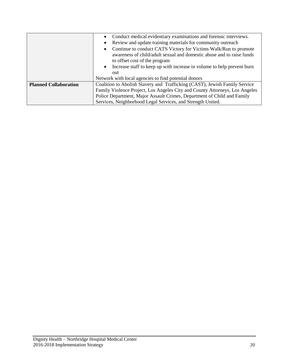|                              | Conduct medical evidentiary examinations and forensic interviews.             |
|------------------------------|-------------------------------------------------------------------------------|
|                              | Review and update training materials for community outreach                   |
|                              | Continue to conduct CATS Victory for Victims Walk/Run to promote<br>$\bullet$ |
|                              | awareness of child/adult sexual and domestic abuse and to raise funds         |
|                              | to offset cost of the program                                                 |
|                              | • Increase staff to keep up with increase in volume to help prevent burn      |
|                              | out                                                                           |
|                              | Network with local agencies to find potential donors                          |
| <b>Planned Collaboration</b> | Coalition to Abolish Slavery and Trafficking (CAST), Jewish Family Service    |
|                              | Family Violence Project, Los Angeles City and County Attorneys, Los Angeles   |
|                              | Police Department, Major Assault Crimes, Department of Child and Family       |
|                              | Services, Neighborhood Legal Services, and Strength United.                   |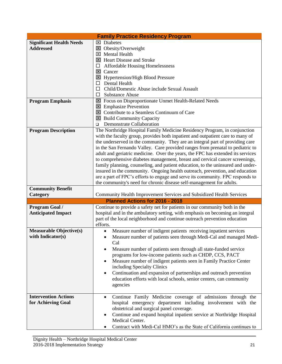| <b>Family Practice Residency Program</b>            |                                                                                                                              |  |
|-----------------------------------------------------|------------------------------------------------------------------------------------------------------------------------------|--|
| <b>Significant Health Needs</b>                     | $\boxtimes$ Diabetes                                                                                                         |  |
| <b>Addressed</b>                                    | $\boxtimes$ Obesity/Overweight                                                                                               |  |
|                                                     | $\boxtimes$ Mental Health                                                                                                    |  |
|                                                     | El Heart Disease and Stroke                                                                                                  |  |
|                                                     | <b>Affordable Housing Homelessness</b><br>□                                                                                  |  |
|                                                     | $\boxtimes$ Cancer                                                                                                           |  |
|                                                     | $\boxtimes$ Hypertension/High Blood Pressure                                                                                 |  |
|                                                     | Dental Health                                                                                                                |  |
|                                                     | Child/Domestic Abuse include Sexual Assault                                                                                  |  |
|                                                     | <b>Substance Abuse</b><br>$\Box$                                                                                             |  |
| <b>Program Emphasis</b>                             | <b>EX</b> Focus on Disproportionate Unmet Health-Related Needs                                                               |  |
|                                                     | $\boxtimes$ Emphasize Prevention                                                                                             |  |
|                                                     | $\boxtimes$ Contribute to a Seamless Continuum of Care                                                                       |  |
|                                                     | $\boxtimes$ Build Community Capacity                                                                                         |  |
|                                                     | Demonstrate Collaboration<br>▫                                                                                               |  |
| <b>Program Description</b>                          | The Northridge Hospital Family Medicine Residency Program, in conjunction                                                    |  |
|                                                     | with the faculty group, provides both inpatient and outpatient care to many of                                               |  |
|                                                     | the underserved in the community. They are an integral part of providing care                                                |  |
|                                                     | in the San Fernando Valley. Care provided ranges from prenatal to pediatric to                                               |  |
|                                                     | adult and geriatric medicine. Over the years, the FPC has extended its services                                              |  |
|                                                     | to comprehensive diabetes management, breast and cervical cancer screenings,                                                 |  |
|                                                     | family planning, counseling, and patient education, to the uninsured and under-                                              |  |
|                                                     | insured in the community. Ongoing health outreach, prevention, and education                                                 |  |
|                                                     | are a part of FPC's efforts to engage and serve its community. FPC responds to                                               |  |
|                                                     | the community's need for chronic disease self-management for adults.                                                         |  |
| <b>Community Benefit</b>                            |                                                                                                                              |  |
| Category                                            | Community Health Improvement Services and Subsidized Health Services                                                         |  |
|                                                     | Planned Actions for 2016 - 2018                                                                                              |  |
| <b>Program Goal /</b>                               | Continue to provide a safety net for patients in our community both in the                                                   |  |
| <b>Anticipated Impact</b>                           | hospital and in the ambulatory setting, with emphasis on becoming an integral                                                |  |
|                                                     | part of the local neighborhood and continue outreach prevention education                                                    |  |
|                                                     | efforts.                                                                                                                     |  |
| <b>Measurable Objective(s)</b><br>with Indicator(s) | Measure number of indigent patients receiving inpatient services<br>$\bullet$                                                |  |
|                                                     | Measure number of patients seen through Medi-Cal and managed Medi-<br>Cal                                                    |  |
|                                                     |                                                                                                                              |  |
|                                                     | Measure number of patients seen through all state-funded service<br>programs for low-income patients such as CHDP, CCS, PACT |  |
|                                                     | Measure number of indigent patients seen in Family Practice Center                                                           |  |
|                                                     | including Specialty Clinics                                                                                                  |  |
|                                                     | Continuation and expansion of partnerships and outreach prevention                                                           |  |
|                                                     | education efforts with local schools, senior centers, can community                                                          |  |
|                                                     |                                                                                                                              |  |
|                                                     | agencies                                                                                                                     |  |
| <b>Intervention Actions</b>                         | Continue Family Medicine coverage of admissions through the<br>$\bullet$                                                     |  |
| for Achieving Goal                                  | hospital emergency department including involvement with the                                                                 |  |
|                                                     | obstetrical and surgical panel coverage.                                                                                     |  |
|                                                     | Continue and expand hospital inpatient service at Northridge Hospital                                                        |  |
|                                                     | Medical Center.                                                                                                              |  |
|                                                     | Contract with Medi-Cal HMO's as the State of California continues to                                                         |  |
|                                                     |                                                                                                                              |  |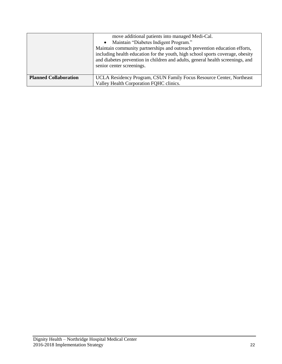|                              | move additional patients into managed Medi-Cal.<br>• Maintain "Diabetes Indigent Program."<br>Maintain community partnerships and outreach prevention education efforts,<br>including health education for the youth, high school sports coverage, obesity<br>and diabetes prevention in children and adults, general health screenings, and<br>senior center screenings. |
|------------------------------|---------------------------------------------------------------------------------------------------------------------------------------------------------------------------------------------------------------------------------------------------------------------------------------------------------------------------------------------------------------------------|
| <b>Planned Collaboration</b> | UCLA Residency Program, CSUN Family Focus Resource Center, Northeast<br>Valley Health Corporation FQHC clinics.                                                                                                                                                                                                                                                           |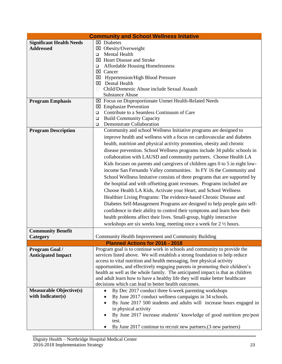|                                 | <b>Community and School Wellness Initative</b>                                                                                     |
|---------------------------------|------------------------------------------------------------------------------------------------------------------------------------|
| <b>Significant Health Needs</b> | $\boxtimes$ Diabetes                                                                                                               |
| <b>Addressed</b>                | X Obesity/Overweight                                                                                                               |
|                                 | Mental Health<br>□                                                                                                                 |
|                                 | ⊠ Heart Disease and Stroke                                                                                                         |
|                                 | <b>Affordable Housing Homelessness</b><br>□                                                                                        |
|                                 | ⊠ Cancer                                                                                                                           |
|                                 | <b>Hypertension/High Blood Pressure</b><br>⊠<br>Dental Health<br>×                                                                 |
|                                 | Child/Domestic Abuse include Sexual Assault<br>П                                                                                   |
|                                 | <b>Substance Abuse</b>                                                                                                             |
| <b>Program Emphasis</b>         | ⊠ Focus on Disproportionate Unmet Health-Related Needs                                                                             |
|                                 | $\boxtimes$ Emphasize Prevention                                                                                                   |
|                                 | Contribute to a Seamless Continuum of Care<br>$\Box$                                                                               |
|                                 | <b>Build Community Capacity</b><br>□                                                                                               |
|                                 | <b>Demonstrate Collaboration</b><br>❏                                                                                              |
| <b>Program Description</b>      | Community and school Wellness Initiative programs are designed to                                                                  |
|                                 | improve health and wellness with a focus on cardiovascular and diabetes                                                            |
|                                 | health, nutrition and physical activity promotion, obesity and chronic                                                             |
|                                 | disease prevention. School Wellness programs include 34 public schools in                                                          |
|                                 | collaboration with LAUSD and community partners. Choose Health LA                                                                  |
|                                 | Kids focuses on parents and caregivers of children ages 0 to 5 in eight low-                                                       |
|                                 | income San Fernando Valley communities. In FY 16 the Community and                                                                 |
|                                 | School Wellness Imitative consists of three programs that are supported by                                                         |
|                                 |                                                                                                                                    |
|                                 | the hospital and with offsetting grant revenues. Programs included are                                                             |
|                                 | Choose Health LA Kids, Activate your Heart, and School Wellness                                                                    |
|                                 | Healthier Living Programs: The evidence-based Chronic Disease and                                                                  |
|                                 | Diabetes Self-Management Programs are designed to help people gain self-                                                           |
|                                 | confidence in their ability to control their symptoms and learn how their                                                          |
|                                 | health problems affect their lives. Small-group, highly interactive                                                                |
|                                 | workshops are six weeks long, meeting once a week for 2 1/2 hours.                                                                 |
| <b>Community Benefit</b>        |                                                                                                                                    |
| Category                        | Community Health Improvement and Community Building                                                                                |
|                                 | Planned Actions for 2016 - 2018                                                                                                    |
| <b>Program Goal /</b>           | Program goal is to continue work in schools and community to provide the                                                           |
| <b>Anticipated Impact</b>       | services listed above. We will establish a strong foundation to help reduce                                                        |
|                                 | access to vital nutrition and health messaging, free physical activity                                                             |
|                                 | opportunities, and effectively engaging parents in promoting their children's                                                      |
|                                 | health as well as the whole family. The anticipated impact is that as children                                                     |
|                                 | and adult learn how to have a healthy life they will make better healthcare<br>decisions which can lead to better health outcomes. |
| <b>Measurable Objective(s)</b>  | By Dec 2017 conduct three 6-week parenting workshops<br>$\bullet$                                                                  |
| with Indicator(s)               | By June 2017 conduct wellness campaigns in 34 schools.                                                                             |
|                                 | By June 2017 500 students and adults will increase hours engaged in                                                                |
|                                 | in physical activity                                                                                                               |
|                                 | By June 2017 increase students' knowledge of good nutrition pre/post                                                               |
|                                 | test.                                                                                                                              |
|                                 |                                                                                                                                    |
|                                 | By June 2017 continue to recruit new partners. (3 new partners)                                                                    |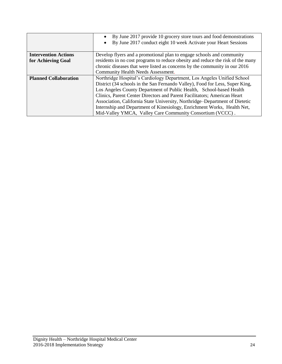|                              | By June 2017 provide 10 grocery store tours and food demonstrations                                                                             |  |
|------------------------------|-------------------------------------------------------------------------------------------------------------------------------------------------|--|
|                              | By June 2017 conduct eight 10 week Activate your Heart Sessions                                                                                 |  |
|                              |                                                                                                                                                 |  |
| <b>Intervention Actions</b>  | Develop flyers and a promotional plan to engage schools and community                                                                           |  |
| for Achieving Goal           | residents in no cost programs to reduce obesity and reduce the risk of the many                                                                 |  |
|                              | chronic diseases that were listed as concerns by the community in our 2016                                                                      |  |
|                              | Community Health Needs Assessment.                                                                                                              |  |
| <b>Planned Collaboration</b> | Northridge Hospital's Cardiology Department, Los Angeles Unified School                                                                         |  |
|                              | District (34 schools in the San Fernando Valley), Food for Less, Super King,                                                                    |  |
|                              | Los Angeles County Department of Public Health, School-based Health<br>Clinics, Parent Center Directors and Parent Facilitators; American Heart |  |
|                              |                                                                                                                                                 |  |
|                              | Association, California State University, Northridge–Department of Dietetic                                                                     |  |
|                              | Internship and Department of Kinesiology, Enrichment Works, Health Net,                                                                         |  |
|                              | Mid-Valley YMCA, Valley Care Community Consortium (VCCC).                                                                                       |  |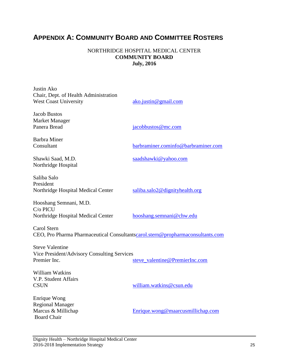# **APPENDIX A: COMMUNITY BOARD AND COMMITTEE ROSTERS**

#### NORTHRIDGE HOSPITAL MEDICAL CENTER **COMMUNITY BOARD July, 2016**

| Justin Ako<br>Chair, Dept. of Health Administration<br><b>West Coast University</b>           | ako.justin@gmail.com                |
|-----------------------------------------------------------------------------------------------|-------------------------------------|
| <b>Jacob Bustos</b><br>Market Manager<br>Panera Bread                                         | jacobbustos@mc.com                  |
| Barbra Miner<br>Consultant                                                                    | barbraminer.cominfo@barbraminer.com |
| Shawki Saad, M.D.<br>Northridge Hospital                                                      | saadshawki@yahoo.com                |
| Saliba Salo<br>President<br>Northridge Hospital Medical Center                                | saliba.salo2@dignityhealth.org      |
| Hooshang Semnani, M.D.<br>C/o PICU<br>Northridge Hospital Medical Center                      | hooshang.semnani@chw.edu            |
| Carol Stern<br>CEO, Pro Pharma Pharmaceutical Consultantscarol.stern@propharmaconsultants.com |                                     |
| <b>Steve Valentine</b><br>Vice President/Advisory Consulting Services<br>Premier Inc.         | steve_valentine@PremierInc.com      |
| William Watkins<br>V.P. Student Affairs<br><b>CSUN</b>                                        | william.watkins@csun.edu            |
| Enrique Wong<br><b>Regional Manager</b><br>Marcus & Millichap<br><b>Board Chair</b>           | Enrique.wong@maarcusmillichap.com   |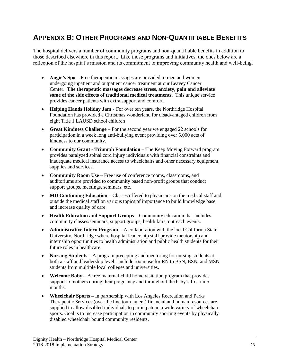## **APPENDIX B: OTHER PROGRAMS AND NON-QUANTIFIABLE BENEFITS**

The hospital delivers a number of community programs and non-quantifiable benefits in addition to those described elsewhere in this report. Like those programs and initiatives, the ones below are a reflection of the hospital's mission and its commitment to improving community health and well-being.

- **Angie's Spa** Free therapeutic massages are provided to men and women undergoing inpatient and outpatient cancer treatment at our Leavey Cancer Center. **The therapeutic massages decrease stress, anxiety, pain and alleviate some of the side effects of traditional medical treatments.** This unique service provides cancer patients with extra support and comfort.
- **Helping Hands Holiday Jam**  For over ten years, the Northridge Hospital Foundation has provided a Christmas wonderland for disadvantaged children from eight Title 1 LAUSD school children
- **Great Kindness Challenge** For the second year we engaged 22 schools for participation in a week long anti-bullying event providing over 5,000 acts of kindness to our community.
- **Community Grant - Triumph Foundation –** The Keep Moving Forward program provides paralyzed spinal cord injury individuals with financial constraints and inadequate medical insurance access to wheelchairs and other necessary equipment, supplies and services.
- **Community Room Use** Free use of conference rooms, classrooms, and auditoriums are provided to community based non-profit groups that conduct support groups, meetings, seminars, etc.
- **MD Continuing Education** Classes offered to physicians on the medical staff and outside the medical staff on various topics of importance to build knowledge base and increase quality of care.
- **Health Education and Support Groups –** Community education that includes community classes/seminars, support groups, health fairs, outreach events.
- **Administrative Intern Program -** A collaboration with the local California State University, Northridge where hospital leadership staff provide mentorship and internship opportunities to health administration and public health students for their future roles in healthcare.
- **Nursing Students –** A program precepting and mentoring for nursing students at both a staff and leadership level. Include room use for RN to BSN, BSN, and MSN students from multiple local colleges and universities.
- **Welcome Baby** A free maternal-child home visitation program that provides support to mothers during their pregnancy and throughout the baby's first nine months.
- **Wheelchair Sports –** In partnership with Los Angeles Recreation and Parks Therapeutic Services (over the line tournament) financial and human resources are supplied to allow disabled individuals to participate in a wide variety of wheelchair sports. Goal is to increase participation in community sporting events by physically disabled wheelchair bound community residents.